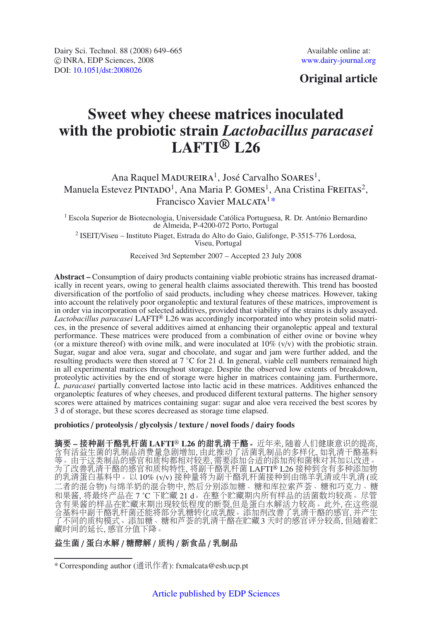# **Original article**

# **Sweet whey cheese matrices inoculated with the probiotic strain** *Lactobacillus paracasei* **LAFTI® L26**

## Ana Raquel MADUREIRA<sup>1</sup>, José Carvalho SOARES<sup>1</sup>, Manuela Estevez PINTADO<sup>1</sup>, Ana Maria P. GOMES<sup>1</sup>, Ana Cristina FREITAS<sup>2</sup>, Francisco Xavier MALCATA<sup>1\*</sup>

<sup>1</sup> Escola Superior de Biotecnologia, Universidade Católica Portuguesa, R. Dr. António Bernardino de Almeida, P-4200-072 Porto, Portugal

<sup>2</sup> ISEIT/Viseu – Instituto Piaget, Estrada do Alto do Gaio, Galifonge, P-3515-776 Lordosa, Viseu, Portugal

Received 3rd September 2007 – Accepted 23 July 2008

**Abstract –** Consumption of dairy products containing viable probiotic strains has increased dramatically in recent years, owing to general health claims associated therewith. This trend has boosted diversification of the portfolio of said products, including whey cheese matrices. However, taking into account the relatively poor organoleptic and textural features of these matrices, improvement is in order via incorporation of selected additives, provided that viability of the strains is duly assayed. Lactobacillus paracasei LAFTI® L26 was accordingly incorporated into whey protein solid matrices, in the presence of several additives aimed at enhancing their organoleptic appeal and textural performance. These matrices were produced from a combination of either ovine or bovine whey (or a mixture thereof) with ovine milk, and were inoculated at  $10\%$  (v/v) with the probiotic strain. Sugar, sugar and aloe vera, sugar and chocolate, and sugar and jam were further added, and the resulting products were then stored at 7 ◦C for 21 d. In general, viable cell numbers remained high in all experimental matrices throughout storage. Despite the observed low extents of breakdown, proteolytic activities by the end of storage were higher in matrices containing jam. Furthermore, *L. paracasei* partially converted lactose into lactic acid in these matrices. Additives enhanced the organoleptic features of whey cheeses, and produced different textural patterns. The higher sensory scores were attained by matrices containing sugar: sugar and aloe vera received the best scores by 3 d of storage, but these scores decreased as storage time elapsed.

## **probiotics** / **proteolysis** / **glycolysis** / **texture** / **novel foods** / **dairy foods**

摘要 – 接种副干酪乳杆菌 LAFTI® L26 的甜乳清干酪。近年来, 随着人们健康意识的提高, 含有活益生菌的乳制品消费量急剧增加, 由此推动了活菌乳制品的多样化, 如乳清干酪基料 等。由于这类制品的感官和质构都相对较差, 需要添加合适的添加剂和菌株对其加以改进。 为了改善乳清干酪的感官和质构特性, 将副干酪乳杆菌 LAFTI® L26 接种到含有多种添加物 的乳清蛋白基料中。以 10% (v/v) 接种量将为副干酪乳杆菌接种到由绵羊乳清或牛乳清 (或 二者的混合物) 与绵羊奶的混合物中, 然后分别添加糖、糖和库拉索芦荟、糖和巧克力、糖 和果酱, 将最终产品在 7 ˚C 下贮藏 21 d。在整个贮藏期内所有样品的活菌数均较高。尽管 含有果酱的样品在贮藏末期出现较低程度的断裂,但是蛋白水解活力较高。此外, 在这些混 合基料中副干酪乳杆菌还能将部分乳糖转化成乳酸。添加剂改善了乳清干酪的感官, 并产生 了不同的质构模式。添加糖、糖和芦荟的乳清干酪在贮藏 3 天时的感官评分较高, 但随着贮 藏时间的延长, 感官分值下降。

## 益生菌 / 蛋白水解 / 糖酵解 / 质构 / 新食品 / 乳制品

<sup>\*</sup> Corresponding author (通讯作者): fxmalcata@esb.ucp.pt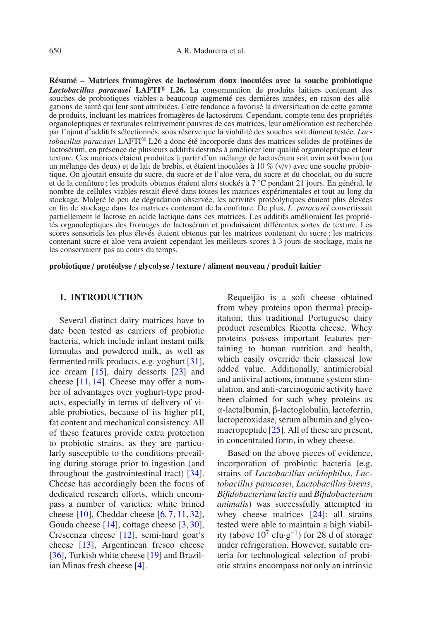**Résumé – Matrices fromagères de lactosérum doux inoculées avec la souche probiotique** Lactobacillus paracasei LAFTI<sup>®</sup> L26. La consommation de produits laitiers contenant des souches de probiotiques viables a beaucoup augmenté ces dernières années, en raison des allégations de santé qui leur sont attribuées. Cette tendance a favorisé la diversification de cette gamme de produits, incluant les matrices fromagères de lactosérum. Cependant, compte tenu des propriétés organoleptiques et texturales relativement pauvres de ces matrices, leur amélioration est recherchée par l'ajout d'additifs sélectionnés, sous réserve que la viabilité des souches soit dûment testée. *Lac*tobacillus paracasei LAFTI® L26 a donc été incorporée dans des matrices solides de protéines de lactosérum, en présence de plusieurs additifs destinés à améliorer leur qualité organoleptique et leur texture. Ces matrices étaient produites à partir d'un mélange de lactosérum soit ovin soit bovin (ou un mélange des deux) et de lait de brebis, et étaient inoculées à 10 %  $(v/v)$  avec une souche probiotique. On ajoutait ensuite du sucre, du sucre et de l'aloe vera, du sucre et du chocolat, ou du sucre et de la confiture ; les produits obtenus étaient alors stockés à 7 ˚C pendant 21 jours. En général, le nombre de cellules viables restait élevé dans toutes les matrices expérimentales et tout au long du stockage. Malgré le peu de dégradation observée, les activités protéolytiques étaient plus élevées en fin de stockage dans les matrices contenant de la confiture. De plus, *L. paracasei* convertissait partiellement le lactose en acide lactique dans ces matrices. Les additifs amélioraient les propriétés organoleptiques des fromages de lactosérum et produisaient différentes sortes de texture. Les scores sensoriels les plus élevés étaient obtenus par les matrices contenant du sucre ; les matrices contenant sucre et aloe vera avaient cependant les meilleurs scores à 3 jours de stockage, mais ne les conservaient pas au cours du temps.

**probiotique** / **protéolyse** / **glycolyse** / **texture** / **aliment nouveau** / **produit laitier**

## **1. INTRODUCTION**

Several distinct dairy matrices have to date been tested as carriers of probiotic bacteria, which include infant instant milk formulas and powdered milk, as well as fermented milk products, e.g. yoghurt [\[31](#page-16-0)], ice cream [\[15\]](#page-15-0), dairy desserts [\[23\]](#page-15-1) and cheese [\[11](#page-15-2), [14](#page-15-3)]. Cheese may offer a number of advantages over yoghurt-type products, especially in terms of delivery of viable probiotics, because of its higher pH, fat content and mechanical consistency. All of these features provide extra protection to probiotic strains, as they are particularly susceptible to the conditions prevailing during storage prior to ingestion (and throughout the gastrointestinal tract) [\[34](#page-16-1)]. Cheese has accordingly been the focus of dedicated research efforts, which encompass a number of varieties: white brined cheese [\[10\]](#page-15-4), Cheddar cheese [\[6,](#page-15-5) [7,](#page-15-6) [11,](#page-15-2) [32](#page-16-2)], Gouda cheese [\[14\]](#page-15-3), cottage cheese [\[3](#page-14-0), [30](#page-16-3)], Crescenza cheese [\[12\]](#page-15-7), semi-hard goat's cheese [\[13\]](#page-15-8), Argentinean fresco cheese [\[36](#page-16-4)], Turkish white cheese [\[19](#page-15-9)] and Brazilian Minas fresh cheese [\[4\]](#page-15-10).

Requeijão is a soft cheese obtained from whey proteins upon thermal precipitation; this traditional Portuguese dairy product resembles Ricotta cheese. Whey proteins possess important features pertaining to human nutrition and health, which easily override their classical low added value. Additionally, antimicrobial and antiviral actions, immune system stimulation, and anti-carcinogenic activity have been claimed for such whey proteins as α-lactalbumin, β-lactoglobulin, lactoferrin, lactoperoxidase, serum albumin and glycomacropeptide [\[25\]](#page-15-11). All of these are present, in concentrated form, in whey cheese.

Based on the above pieces of evidence, incorporation of probiotic bacteria (e.g. strains of *Lactobacillus acidophilus*, *Lactobacillus paracasei*, *Lactobacillus brevis*, *Bifidobacterium lactis* and *Bifidobacterium animalis*) was successfully attempted in whey cheese matrices [\[24\]](#page-15-12): all strains tested were able to maintain a high viability (above  $10^7$  cfu·g<sup>-1</sup>) for 28 d of storage under refrigeration. However, suitable criteria for technological selection of probiotic strains encompass not only an intrinsic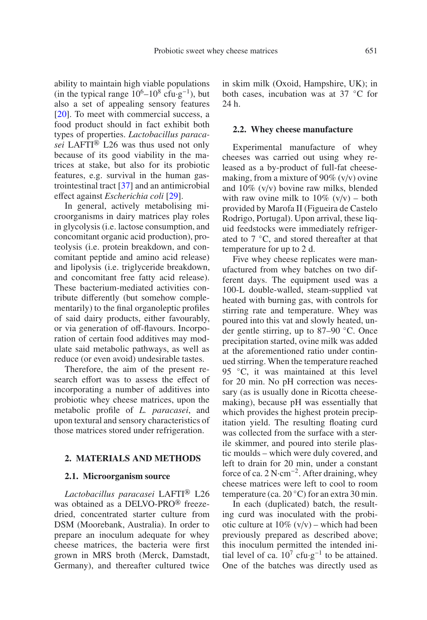ability to maintain high viable populations (in the typical range  $10^6$ – $10^8$  cfu⋅g<sup>-1</sup>), but also a set of appealing sensory features [\[20\]](#page-15-13). To meet with commercial success, a food product should in fact exhibit both types of properties. *Lactobacillus paraca*sei LAFTI<sup>®</sup> L26 was thus used not only because of its good viability in the matrices at stake, but also for its probiotic features, e.g. survival in the human gastrointestinal tract [\[37\]](#page-16-5) and an antimicrobial effect against *Escherichia coli* [\[29](#page-16-6)].

In general, actively metabolising microorganisms in dairy matrices play roles in glycolysis (i.e. lactose consumption, and concomitant organic acid production), proteolysis (i.e. protein breakdown, and concomitant peptide and amino acid release) and lipolysis (i.e. triglyceride breakdown, and concomitant free fatty acid release). These bacterium-mediated activities contribute differently (but somehow complementarily) to the final organoleptic profiles of said dairy products, either favourably, or via generation of off-flavours. Incorporation of certain food additives may modulate said metabolic pathways, as well as reduce (or even avoid) undesirable tastes.

Therefore, the aim of the present research effort was to assess the effect of incorporating a number of additives into probiotic whey cheese matrices, upon the metabolic profile of *L. paracasei*, and upon textural and sensory characteristics of those matrices stored under refrigeration.

## **2. MATERIALS AND METHODS**

#### **2.1. Microorganism source**

Lactobacillus paracasei LAFTI<sup>®</sup> L26 was obtained as a DELVO-PRO<sup>®</sup> freezedried, concentrated starter culture from DSM (Moorebank, Australia). In order to prepare an inoculum adequate for whey cheese matrices, the bacteria were first grown in MRS broth (Merck, Damstadt, Germany), and thereafter cultured twice in skim milk (Oxoid, Hampshire, UK); in both cases, incubation was at 37 ◦C for 24 h.

#### **2.2. Whey cheese manufacture**

Experimental manufacture of whey cheeses was carried out using whey released as a by-product of full-fat cheesemaking, from a mixture of 90% (v/v) ovine and 10% (v/v) bovine raw milks, blended with raw ovine milk to  $10\%$  (v/v) – both provided by Marofa II (Figueira de Castelo Rodrigo, Portugal). Upon arrival, these liquid feedstocks were immediately refrigerated to 7 ◦C, and stored thereafter at that temperature for up to 2 d.

Five whey cheese replicates were manufactured from whey batches on two different days. The equipment used was a 100-L double-walled, steam-supplied vat heated with burning gas, with controls for stirring rate and temperature. Whey was poured into this vat and slowly heated, under gentle stirring, up to 87–90 ◦C. Once precipitation started, ovine milk was added at the aforementioned ratio under continued stirring. When the temperature reached 95 °C, it was maintained at this level for 20 min. No pH correction was necessary (as is usually done in Ricotta cheesemaking), because pH was essentially that which provides the highest protein precipitation yield. The resulting floating curd was collected from the surface with a sterile skimmer, and poured into sterile plastic moulds – which were duly covered, and left to drain for 20 min, under a constant force of ca. 2 N·cm−2. After draining, whey cheese matrices were left to cool to room temperature (ca.  $20^{\circ}$ C) for an extra 30 min.

In each (duplicated) batch, the resulting curd was inoculated with the probiotic culture at  $10\%$  (v/v) – which had been previously prepared as described above; this inoculum permitted the intended initial level of ca.  $10^7$  cfu·g<sup>-1</sup> to be attained. One of the batches was directly used as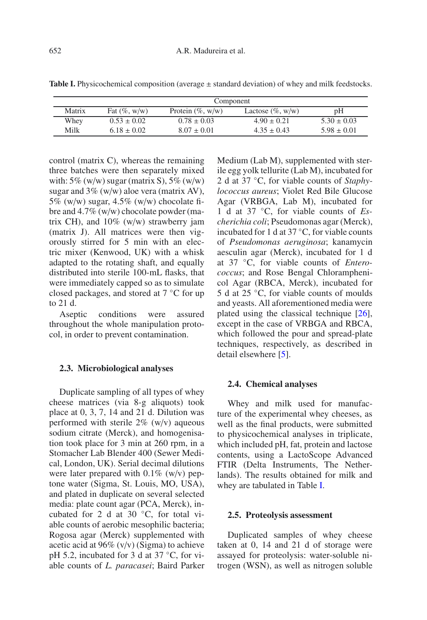<span id="page-3-0"></span>**Table I.** Physicochemical composition (average  $\pm$  standard deviation) of whey and milk feedstocks.

|        | Component        |                      |                      |                 |  |  |  |
|--------|------------------|----------------------|----------------------|-----------------|--|--|--|
| Matrix | Fat $(\%$ , w/w) | Protein $(\%$ , w/w) | Lactose $(\%$ , w/w) | pH              |  |  |  |
| Whey   | $0.53 \pm 0.02$  | $0.78 \pm 0.03$      | $4.90 \pm 0.21$      | $5.30 \pm 0.03$ |  |  |  |
| Milk   | $6.18 \pm 0.02$  | $8.07 \pm 0.01$      | $4.35 \pm 0.43$      | $5.98 \pm 0.01$ |  |  |  |

control (matrix C), whereas the remaining three batches were then separately mixed with:  $5\%$  (w/w) sugar (matrix S),  $5\%$  (w/w) sugar and  $3\%$  (w/w) aloe vera (matrix AV), 5% (w/w) sugar, 4.5% (w/w) chocolate fibre and 4.7% (w/w) chocolate powder (matrix CH), and 10% (w/w) strawberry jam (matrix J). All matrices were then vigorously stirred for 5 min with an electric mixer (Kenwood, UK) with a whisk adapted to the rotating shaft, and equally distributed into sterile 100-mL flasks, that were immediately capped so as to simulate closed packages, and stored at 7 ◦C for up to 21 d.

Aseptic conditions were assured throughout the whole manipulation protocol, in order to prevent contamination.

## **2.3. Microbiological analyses**

Duplicate sampling of all types of whey cheese matrices (via 8-g aliquots) took place at 0, 3, 7, 14 and 21 d. Dilution was performed with sterile  $2\%$  (w/v) aqueous sodium citrate (Merck), and homogenisation took place for 3 min at 260 rpm, in a Stomacher Lab Blender 400 (Sewer Medical, London, UK). Serial decimal dilutions were later prepared with  $0.1\%$  (w/v) peptone water (Sigma, St. Louis, MO, USA), and plated in duplicate on several selected media: plate count agar (PCA, Merck), incubated for 2 d at 30 ◦C, for total viable counts of aerobic mesophilic bacteria; Rogosa agar (Merck) supplemented with acetic acid at  $96\%$  (v/v) (Sigma) to achieve pH 5.2, incubated for 3 d at 37 °C, for viable counts of *L. paracasei*; Baird Parker

Medium (Lab M), supplemented with sterile egg yolk tellurite (Lab M), incubated for 2 d at 37 ◦C, for viable counts of *Staphylococcus aureus*; Violet Red Bile Glucose Agar (VRBGA, Lab M), incubated for 1 d at 37 ◦C, for viable counts of *Escherichia coli*; Pseudomonas agar (Merck), incubated for 1 d at 37 ◦C, for viable counts of *Pseudomonas aeruginosa*; kanamycin aesculin agar (Merck), incubated for 1 d at 37 ◦C, for viable counts of *Enterococcus*; and Rose Bengal Chloramphenicol Agar (RBCA, Merck), incubated for 5 d at 25 ◦C, for viable counts of moulds and yeasts. All aforementioned media were plated using the classical technique [\[26\]](#page-16-7), except in the case of VRBGA and RBCA, which followed the pour and spread-plate techniques, respectively, as described in detail elsewhere [\[5](#page-15-14)].

#### **2.4. Chemical analyses**

Whey and milk used for manufacture of the experimental whey cheeses, as well as the final products, were submitted to physicochemical analyses in triplicate, which included pH, fat, protein and lactose contents, using a LactoScope Advanced FTIR (Delta Instruments, The Netherlands). The results obtained for milk and whey are tabulated in Table [I.](#page-3-0)

#### **2.5. Proteolysis assessment**

Duplicated samples of whey cheese taken at 0, 14 and 21 d of storage were assayed for proteolysis: water-soluble nitrogen (WSN), as well as nitrogen soluble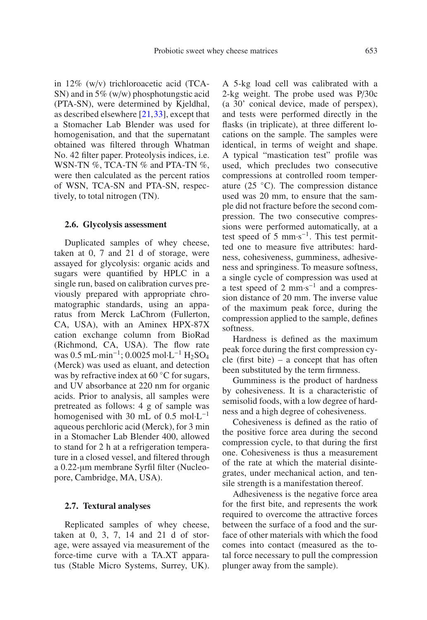in 12% (w/v) trichloroacetic acid (TCA-SN) and in 5% (w/w) phosphotungstic acid (PTA-SN), were determined by Kjeldhal, as described elsewhere  $[21,33]$  $[21,33]$ , except that a Stomacher Lab Blender was used for homogenisation, and that the supernatant obtained was filtered through Whatman No. 42 filter paper. Proteolysis indices, i.e. WSN-TN %, TCA-TN % and PTA-TN %, were then calculated as the percent ratios of WSN, TCA-SN and PTA-SN, respectively, to total nitrogen (TN).

#### **2.6. Glycolysis assessment**

Duplicated samples of whey cheese, taken at 0, 7 and 21 d of storage, were assayed for glycolysis: organic acids and sugars were quantified by HPLC in a single run, based on calibration curves previously prepared with appropriate chromatographic standards, using an apparatus from Merck LaChrom (Fullerton, CA, USA), with an Aminex HPX-87X cation exchange column from BioRad (Richmond, CA, USA). The flow rate was 0.5 mL·min<sup>-1</sup>; 0.0025 mol·L<sup>-1</sup> H<sub>2</sub>SO<sub>4</sub> (Merck) was used as eluant, and detection was by refractive index at 60 ℃ for sugars, and UV absorbance at 220 nm for organic acids. Prior to analysis, all samples were pretreated as follows: 4 g of sample was homogenised with 30 mL of 0.5 mol⋅L<sup>-1</sup> aqueous perchloric acid (Merck), for 3 min in a Stomacher Lab Blender 400, allowed to stand for 2 h at a refrigeration temperature in a closed vessel, and filtered through a 0.22-μm membrane Syrfil filter (Nucleopore, Cambridge, MA, USA).

#### **2.7. Textural analyses**

Replicated samples of whey cheese, taken at 0, 3, 7, 14 and 21 d of storage, were assayed via measurement of the force-time curve with a TA.XT apparatus (Stable Micro Systems, Surrey, UK).

A 5-kg load cell was calibrated with a 2-kg weight. The probe used was P/30c (a 30' conical device, made of perspex), and tests were performed directly in the flasks (in triplicate), at three different locations on the sample. The samples were identical, in terms of weight and shape. A typical "mastication test" profile was used, which precludes two consecutive compressions at controlled room temperature (25 ◦C). The compression distance used was 20 mm, to ensure that the sample did not fracture before the second compression. The two consecutive compressions were performed automatically, at a test speed of 5 mm⋅s<sup> $-1$ </sup>. This test permitted one to measure five attributes: hardness, cohesiveness, gumminess, adhesiveness and springiness. To measure softness, a single cycle of compression was used at a test speed of 2 mm·s−<sup>1</sup> and a compression distance of 20 mm. The inverse value of the maximum peak force, during the compression applied to the sample, defines softness.

Hardness is defined as the maximum peak force during the first compression cycle (first bite) – a concept that has often been substituted by the term firmness.

Gumminess is the product of hardness by cohesiveness. It is a characteristic of semisolid foods, with a low degree of hardness and a high degree of cohesiveness.

Cohesiveness is defined as the ratio of the positive force area during the second compression cycle, to that during the first one. Cohesiveness is thus a measurement of the rate at which the material disintegrates, under mechanical action, and tensile strength is a manifestation thereof.

Adhesiveness is the negative force area for the first bite, and represents the work required to overcome the attractive forces between the surface of a food and the surface of other materials with which the food comes into contact (measured as the total force necessary to pull the compression plunger away from the sample).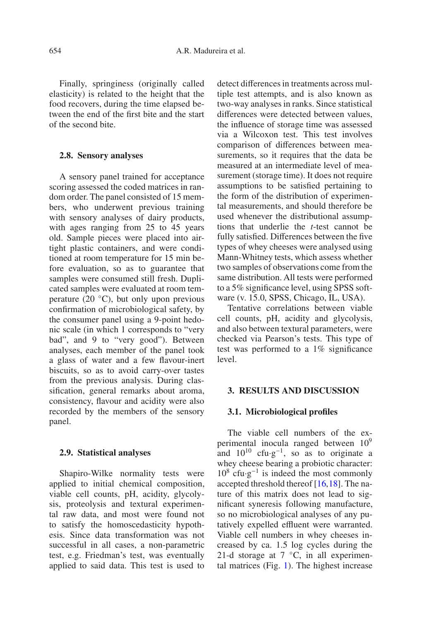Finally, springiness (originally called elasticity) is related to the height that the food recovers, during the time elapsed between the end of the first bite and the start of the second bite.

## **2.8. Sensory analyses**

A sensory panel trained for acceptance scoring assessed the coded matrices in random order. The panel consisted of 15 members, who underwent previous training with sensory analyses of dairy products, with ages ranging from 25 to 45 years old. Sample pieces were placed into airtight plastic containers, and were conditioned at room temperature for 15 min before evaluation, so as to guarantee that samples were consumed still fresh. Duplicated samples were evaluated at room temperature  $(20 °C)$ , but only upon previous confirmation of microbiological safety, by the consumer panel using a 9-point hedonic scale (in which 1 corresponds to "very bad", and 9 to "very good"). Between analyses, each member of the panel took a glass of water and a few flavour-inert biscuits, so as to avoid carry-over tastes from the previous analysis. During classification, general remarks about aroma, consistency, flavour and acidity were also recorded by the members of the sensory panel.

## **2.9. Statistical analyses**

Shapiro-Wilke normality tests were applied to initial chemical composition, viable cell counts, pH, acidity, glycolysis, proteolysis and textural experimental raw data, and most were found not to satisfy the homoscedasticity hypothesis. Since data transformation was not successful in all cases, a non-parametric test, e.g. Friedman's test, was eventually applied to said data. This test is used to detect differences in treatments across multiple test attempts, and is also known as two-way analyses in ranks. Since statistical differences were detected between values, the influence of storage time was assessed via a Wilcoxon test. This test involves comparison of differences between measurements, so it requires that the data be measured at an intermediate level of measurement (storage time). It does not require assumptions to be satisfied pertaining to the form of the distribution of experimental measurements, and should therefore be used whenever the distributional assumptions that underlie the *t*-test cannot be fully satisfied. Differences between the five types of whey cheeses were analysed using Mann-Whitney tests, which assess whether two samples of observations come from the same distribution. All tests were performed to a 5% significance level, using SPSS software (v. 15.0, SPSS, Chicago, IL, USA).

Tentative correlations between viable cell counts, pH, acidity and glycolysis, and also between textural parameters, were checked via Pearson's tests. This type of test was performed to a 1% significance level.

### **3. RESULTS AND DISCUSSION**

## **3.1. Microbiological profiles**

The viable cell numbers of the experimental inocula ranged between  $10<sup>9</sup>$ and  $10^{10}$  cfu·g<sup>-1</sup>, so as to originate a whey cheese bearing a probiotic character:  $10^8$  cfu·g<sup>-1</sup> is indeed the most commonly accepted threshold thereof [\[16](#page-15-16)[,18](#page-15-17)]. The nature of this matrix does not lead to significant syneresis following manufacture, so no microbiological analyses of any putatively expelled effluent were warranted. Viable cell numbers in whey cheeses increased by ca. 1.5 log cycles during the 21-d storage at  $7 \text{ °C}$ , in all experimental matrices (Fig. [1\)](#page-6-0). The highest increase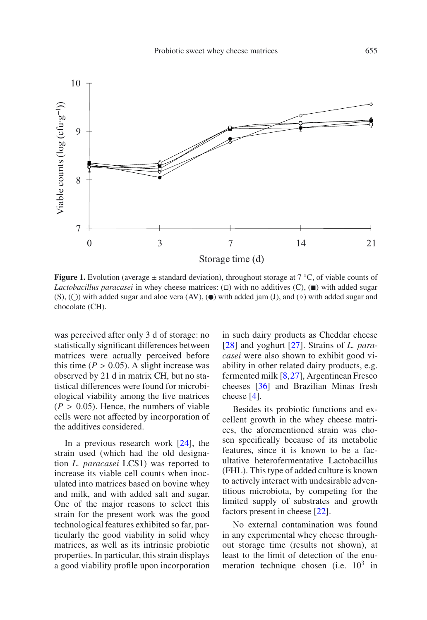<span id="page-6-0"></span>

**Figure 1.** Evolution (average  $\pm$  standard deviation), throughout storage at  $7 °C$ , of viable counts of *Lactobacillus paracasei* in whey cheese matrices:  $(\Box)$  with no additives  $(C)$ ,  $(\blacksquare)$  with added sugar  $(S)$ ,  $(\bigcirc)$  with added sugar and aloe vera  $(AV)$ ,  $(\bullet)$  with added jam  $(J)$ , and  $(\diamond)$  with added sugar and chocolate (CH).

was perceived after only 3 d of storage: no statistically significant differences between matrices were actually perceived before this time ( $P > 0.05$ ). A slight increase was observed by 21 d in matrix CH, but no statistical differences were found for microbiological viability among the five matrices  $(P > 0.05)$ . Hence, the numbers of viable cells were not affected by incorporation of the additives considered.

In a previous research work [\[24](#page-15-12)], the strain used (which had the old designation *L. paracasei* LCS1) was reported to increase its viable cell counts when inoculated into matrices based on bovine whey and milk, and with added salt and sugar. One of the major reasons to select this strain for the present work was the good technological features exhibited so far, particularly the good viability in solid whey matrices, as well as its intrinsic probiotic properties. In particular, this strain displays a good viability profile upon incorporation in such dairy products as Cheddar cheese [\[28](#page-16-9)] and yoghurt [\[27\]](#page-16-10). Strains of *L. paracasei* were also shown to exhibit good viability in other related dairy products, e.g. fermented milk [\[8](#page-15-18)[,27](#page-16-10)], Argentinean Fresco cheeses [\[36\]](#page-16-4) and Brazilian Minas fresh cheese [\[4](#page-15-10)].

Besides its probiotic functions and excellent growth in the whey cheese matrices, the aforementioned strain was chosen specifically because of its metabolic features, since it is known to be a facultative heterofermentative Lactobacillus (FHL). This type of added culture is known to actively interact with undesirable adventitious microbiota, by competing for the limited supply of substrates and growth factors present in cheese [\[22](#page-15-19)].

No external contamination was found in any experimental whey cheese throughout storage time (results not shown), at least to the limit of detection of the enumeration technique chosen (i.e.  $10<sup>3</sup>$  in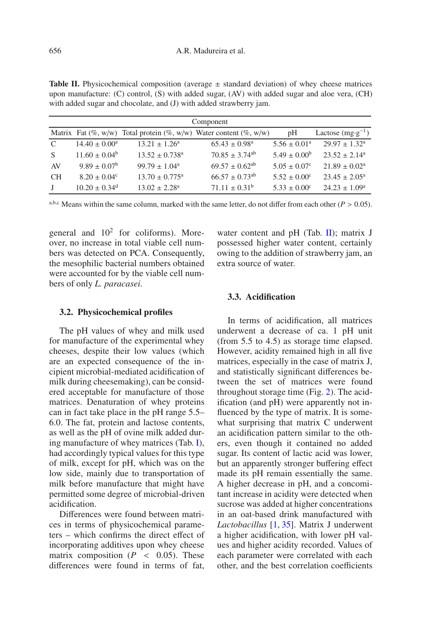<span id="page-7-0"></span>**Table II.** Physicochemical composition (average  $\pm$  standard deviation) of whey cheese matrices upon manufacture: (C) control, (S) with added sugar, (AV) with added sugar and aloe vera, (CH) with added sugar and chocolate, and (J) with added strawberry jam.

| Component |                             |                             |                                                                            |                         |                             |  |  |  |  |  |
|-----------|-----------------------------|-----------------------------|----------------------------------------------------------------------------|-------------------------|-----------------------------|--|--|--|--|--|
|           |                             |                             | Matrix Fat $(\%, w/w)$ Total protein $(\%, w/w)$ Water content $(\%, w/w)$ | pH                      | Lactose $(mg \cdot g^{-1})$ |  |  |  |  |  |
| C         | $14.40 \pm 0.00^{\circ}$    | $13.21 \pm 1.26^a$          | $65.43 \pm 0.98^{\circ}$                                                   | $5.56 \pm 0.01^{\circ}$ | $29.97 \pm 1.32^{\circ}$    |  |  |  |  |  |
| -S        | $11.60 \pm 0.04^b$          | $13.52 \pm 0.738^{\circ}$   | $70.85 \pm 3.74$ <sup>ab</sup>                                             | $5.49 \pm 0.00^b$       | $23.52 \pm 2.14^a$          |  |  |  |  |  |
| AV        | $9.89 \pm 0.07^b$           | $99.79 \pm 1.04^{\circ}$    | $69.57 \pm 0.62^{ab}$                                                      | $5.05 \pm 0.07^{\circ}$ | $21.89 \pm 0.02^a$          |  |  |  |  |  |
| <b>CH</b> | $8.20 \pm 0.04^c$           | $13.70 \pm 0.775^{\circ}$   | $66.57 \pm 0.73$ <sup>ab</sup>                                             | $5.52 \pm 0.00^{\circ}$ | $23.45 \pm 2.05^{\circ}$    |  |  |  |  |  |
| J         | $10.20 \pm 0.34^{\text{d}}$ | $13.02 \pm 2.28^{\text{a}}$ | $71.11 \pm 0.31^b$                                                         | $5.33 \pm 0.00^{\circ}$ | $24.23 \pm 1.09^{\circ}$    |  |  |  |  |  |

a,b,c Means within the same column, marked with the same letter, do not differ from each other ( $P > 0.05$ ).

general and  $10^2$  for coliforms). Moreover, no increase in total viable cell numbers was detected on PCA. Consequently, the mesophilic bacterial numbers obtained were accounted for by the viable cell numbers of only *L. paracasei*.

#### **3.2. Physicochemical profiles**

The pH values of whey and milk used for manufacture of the experimental whey cheeses, despite their low values (which are an expected consequence of the incipient microbial-mediated acidification of milk during cheesemaking), can be considered acceptable for manufacture of those matrices. Denaturation of whey proteins can in fact take place in the pH range 5.5– 6.0. The fat, protein and lactose contents, as well as the pH of ovine milk added during manufacture of whey matrices (Tab. [I\)](#page-3-0), had accordingly typical values for this type of milk, except for pH, which was on the low side, mainly due to transportation of milk before manufacture that might have permitted some degree of microbial-driven acidification.

Differences were found between matrices in terms of physicochemical parameters – which confirms the direct effect of incorporating additives upon whey cheese matrix composition  $(P \lt 0.05)$ . These differences were found in terms of fat, water content and pH (Tab. [II\)](#page-7-0); matrix J possessed higher water content, certainly owing to the addition of strawberry jam, an extra source of water.

## **3.3. Acidification**

In terms of acidification, all matrices underwent a decrease of ca. 1 pH unit (from 5.5 to 4.5) as storage time elapsed. However, acidity remained high in all five matrices, especially in the case of matrix J, and statistically significant differences between the set of matrices were found throughout storage time (Fig. [2\)](#page-8-0). The acidification (and pH) were apparently not influenced by the type of matrix. It is somewhat surprising that matrix C underwent an acidification pattern similar to the others, even though it contained no added sugar. Its content of lactic acid was lower, but an apparently stronger buffering effect made its pH remain essentially the same. A higher decrease in pH, and a concomitant increase in acidity were detected when sucrose was added at higher concentrations in an oat-based drink manufactured with *Lactobacillus* [\[1](#page-14-1), [35\]](#page-16-11). Matrix J underwent a higher acidification, with lower pH values and higher acidity recorded. Values of each parameter were correlated with each other, and the best correlation coefficients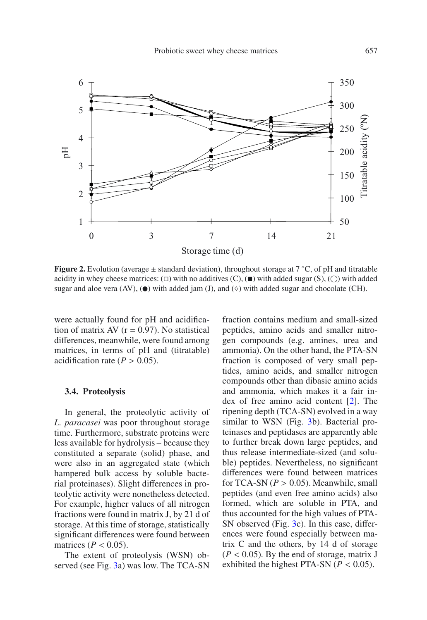<span id="page-8-0"></span>

**Figure 2.** Evolution (average ± standard deviation), throughout storage at 7 °C, of pH and titratable acidity in whey cheese matrices:  $(\Box)$  with no additives  $(C)$ ,  $(\blacksquare)$  with added sugar  $(S)$ ,  $(\bigcirc)$  with added sugar and aloe vera  $(AV)$ ,  $\bullet$  with added jam  $(J)$ , and  $(\diamond)$  with added sugar and chocolate (CH).

were actually found for pH and acidification of matrix AV  $(r = 0.97)$ . No statistical differences, meanwhile, were found among matrices, in terms of pH and (titratable) acidification rate  $(P > 0.05)$ .

#### **3.4. Proteolysis**

In general, the proteolytic activity of *L. paracasei* was poor throughout storage time. Furthermore, substrate proteins were less available for hydrolysis – because they constituted a separate (solid) phase, and were also in an aggregated state (which hampered bulk access by soluble bacterial proteinases). Slight differences in proteolytic activity were nonetheless detected. For example, higher values of all nitrogen fractions were found in matrix J, by 21 d of storage. At this time of storage, statistically significant differences were found between matrices ( $P < 0.05$ ).

The extent of proteolysis (WSN) observed (see Fig. [3a](#page-9-0)) was low. The TCA-SN fraction contains medium and small-sized peptides, amino acids and smaller nitrogen compounds (e.g. amines, urea and ammonia). On the other hand, the PTA-SN fraction is composed of very small peptides, amino acids, and smaller nitrogen compounds other than dibasic amino acids and ammonia, which makes it a fair index of free amino acid content [\[2](#page-14-2)]. The ripening depth (TCA-SN) evolved in a way similar to WSN (Fig. [3b](#page-9-0)). Bacterial proteinases and peptidases are apparently able to further break down large peptides, and thus release intermediate-sized (and soluble) peptides. Nevertheless, no significant differences were found between matrices for TCA-SN  $(P > 0.05)$ . Meanwhile, small peptides (and even free amino acids) also formed, which are soluble in PTA, and thus accounted for the high values of PTA-SN observed (Fig. [3c](#page-9-0)). In this case, differences were found especially between matrix C and the others, by 14 d of storage  $(P < 0.05)$ . By the end of storage, matrix J exhibited the highest PTA-SN  $(P < 0.05)$ .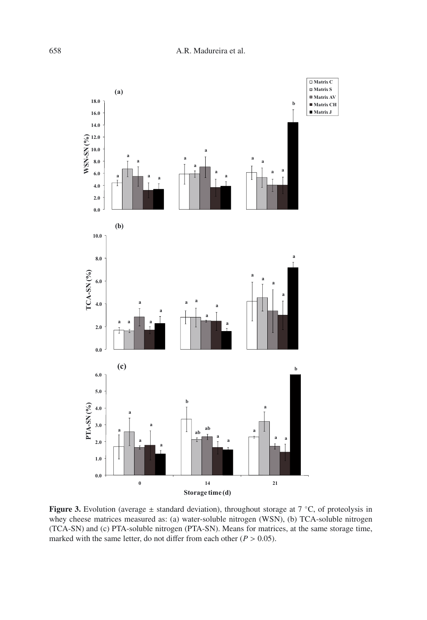

<span id="page-9-0"></span>**Figure 3.** Evolution (average ± standard deviation), throughout storage at 7 ◦C, of proteolysis in whey cheese matrices measured as: (a) water-soluble nitrogen (WSN), (b) TCA-soluble nitrogen (TCA-SN) and (c) PTA-soluble nitrogen (PTA-SN). Means for matrices, at the same storage time, marked with the same letter, do not differ from each other ( $P > 0.05$ ).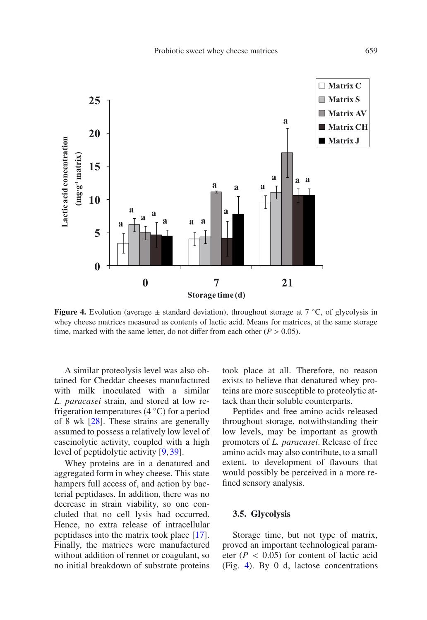<span id="page-10-0"></span>

**Figure 4.** Evolution (average  $\pm$  standard deviation), throughout storage at 7 °C, of glycolysis in whey cheese matrices measured as contents of lactic acid. Means for matrices, at the same storage time, marked with the same letter, do not differ from each other  $(P > 0.05)$ .

A similar proteolysis level was also obtained for Cheddar cheeses manufactured with milk inoculated with a similar *L. paracasei* strain, and stored at low refrigeration temperatures (4 ◦C) for a period of 8 wk [\[28\]](#page-16-9). These strains are generally assumed to possess a relatively low level of caseinolytic activity, coupled with a high level of peptidolytic activity [\[9](#page-15-20), [39](#page-16-12)].

Whey proteins are in a denatured and aggregated form in whey cheese. This state hampers full access of, and action by bacterial peptidases. In addition, there was no decrease in strain viability, so one concluded that no cell lysis had occurred. Hence, no extra release of intracellular peptidases into the matrix took place [\[17\]](#page-15-21). Finally, the matrices were manufactured without addition of rennet or coagulant, so no initial breakdown of substrate proteins took place at all. Therefore, no reason exists to believe that denatured whey proteins are more susceptible to proteolytic attack than their soluble counterparts.

Peptides and free amino acids released throughout storage, notwithstanding their low levels, may be important as growth promoters of *L. paracasei*. Release of free amino acids may also contribute, to a small extent, to development of flavours that would possibly be perceived in a more refined sensory analysis.

#### **3.5. Glycolysis**

Storage time, but not type of matrix, proved an important technological parameter ( $P < 0.05$ ) for content of lactic acid (Fig. [4\)](#page-10-0). By 0 d, lactose concentrations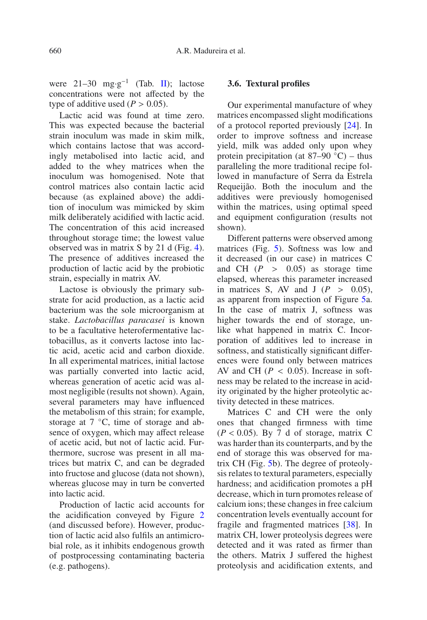were  $21-30$  mg⋅g<sup>-1</sup> (Tab. [II\)](#page-7-0); lactose concentrations were not affected by the type of additive used  $(P > 0.05)$ .

Lactic acid was found at time zero. This was expected because the bacterial strain inoculum was made in skim milk, which contains lactose that was accordingly metabolised into lactic acid, and added to the whey matrices when the inoculum was homogenised. Note that control matrices also contain lactic acid because (as explained above) the addition of inoculum was mimicked by skim milk deliberately acidified with lactic acid. The concentration of this acid increased throughout storage time; the lowest value observed was in matrix S by 21 d (Fig. [4\)](#page-10-0). The presence of additives increased the production of lactic acid by the probiotic strain, especially in matrix AV.

Lactose is obviously the primary substrate for acid production, as a lactic acid bacterium was the sole microorganism at stake. *Lactobacillus paracasei* is known to be a facultative heterofermentative lactobacillus, as it converts lactose into lactic acid, acetic acid and carbon dioxide. In all experimental matrices, initial lactose was partially converted into lactic acid, whereas generation of acetic acid was almost negligible (results not shown). Again, several parameters may have influenced the metabolism of this strain; for example, storage at 7 °C, time of storage and absence of oxygen, which may affect release of acetic acid, but not of lactic acid. Furthermore, sucrose was present in all matrices but matrix C, and can be degraded into fructose and glucose (data not shown), whereas glucose may in turn be converted into lactic acid.

Production of lactic acid accounts for the acidification conveyed by Figure [2](#page-8-0) (and discussed before). However, production of lactic acid also fulfils an antimicrobial role, as it inhibits endogenous growth of postprocessing contaminating bacteria (e.g. pathogens).

#### **3.6. Textural profiles**

Our experimental manufacture of whey matrices encompassed slight modifications of a protocol reported previously [\[24\]](#page-15-12). In order to improve softness and increase yield, milk was added only upon whey protein precipitation (at  $87-90$  °C) – thus paralleling the more traditional recipe followed in manufacture of Serra da Estrela Requeijão. Both the inoculum and the additives were previously homogenised within the matrices, using optimal speed and equipment configuration (results not shown).

Different patterns were observed among matrices (Fig. [5\)](#page-12-0). Softness was low and it decreased (in our case) in matrices C and CH  $(P > 0.05)$  as storage time elapsed, whereas this parameter increased in matrices S, AV and J  $(P > 0.05)$ , as apparent from inspection of Figure [5a](#page-12-0). In the case of matrix J, softness was higher towards the end of storage, unlike what happened in matrix C. Incorporation of additives led to increase in softness, and statistically significant differences were found only between matrices AV and CH ( $P < 0.05$ ). Increase in softness may be related to the increase in acidity originated by the higher proteolytic activity detected in these matrices.

Matrices C and CH were the only ones that changed firmness with time  $(P < 0.05)$ . By 7 d of storage, matrix C was harder than its counterparts, and by the end of storage this was observed for matrix CH (Fig. [5b](#page-12-0)). The degree of proteolysis relates to textural parameters, especially hardness; and acidification promotes a pH decrease, which in turn promotes release of calcium ions; these changes in free calcium concentration levels eventually account for fragile and fragmented matrices [\[38\]](#page-16-13). In matrix CH, lower proteolysis degrees were detected and it was rated as firmer than the others. Matrix J suffered the highest proteolysis and acidification extents, and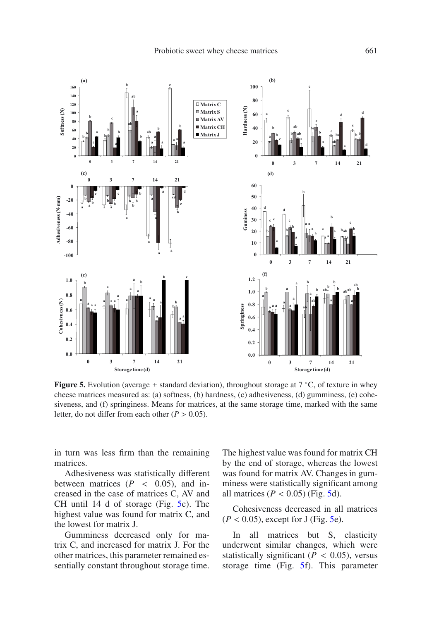

<span id="page-12-0"></span>**Figure 5.** Evolution (average  $\pm$  standard deviation), throughout storage at 7  $\degree$ C, of texture in whey cheese matrices measured as: (a) softness, (b) hardness, (c) adhesiveness, (d) gumminess, (e) cohesiveness, and (f) springiness. Means for matrices, at the same storage time, marked with the same letter, do not differ from each other  $(P > 0.05)$ .

in turn was less firm than the remaining matrices.

Adhesiveness was statistically different between matrices  $(P \lt 0.05)$ , and increased in the case of matrices C, AV and CH until 14 d of storage (Fig. [5c](#page-12-0)). The highest value was found for matrix C, and the lowest for matrix J.

Gumminess decreased only for matrix C, and increased for matrix J. For the other matrices, this parameter remained essentially constant throughout storage time. The highest value was found for matrix CH by the end of storage, whereas the lowest was found for matrix AV. Changes in gumminess were statistically significant among all matrices  $(P < 0.05)$  (Fig. [5d](#page-12-0)).

Cohesiveness decreased in all matrices  $(P < 0.05)$ , except for J (Fig. [5e](#page-12-0)).

In all matrices but S, elasticity underwent similar changes, which were statistically significant ( $P < 0.05$ ), versus storage time (Fig. [5f](#page-12-0)). This parameter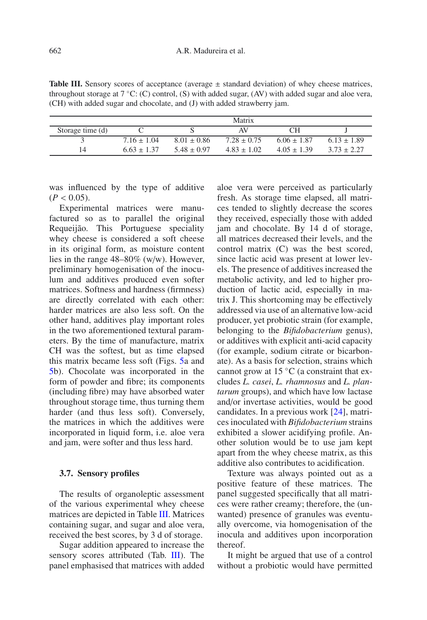<span id="page-13-0"></span>**Table III.** Sensory scores of acceptance (average  $\pm$  standard deviation) of whey cheese matrices, throughout storage at 7 ◦C: (C) control, (S) with added sugar, (AV) with added sugar and aloe vera, (CH) with added sugar and chocolate, and (J) with added strawberry jam.

|                  |                 |                 | Matrix          |                 |                 |
|------------------|-----------------|-----------------|-----------------|-----------------|-----------------|
| Storage time (d) |                 |                 |                 | CН              |                 |
|                  | $7.16 \pm 1.04$ | $8.01 \pm 0.86$ | $7.28 \pm 0.75$ | $6.06 \pm 1.87$ | $6.13 \pm 1.89$ |
| 14               | $6.63 \pm 1.37$ | $5.48 \pm 0.97$ | $4.83 \pm 1.02$ | $4.05 \pm 1.39$ | $3.73 \pm 2.27$ |

was influenced by the type of additive  $(P < 0.05)$ .

Experimental matrices were manufactured so as to parallel the original Requeijão. This Portuguese speciality whey cheese is considered a soft cheese in its original form, as moisture content lies in the range 48–80% (w/w). However, preliminary homogenisation of the inoculum and additives produced even softer matrices. Softness and hardness (firmness) are directly correlated with each other: harder matrices are also less soft. On the other hand, additives play important roles in the two aforementioned textural parameters. By the time of manufacture, matrix CH was the softest, but as time elapsed this matrix became less soft (Figs. [5a](#page-12-0) and [5b](#page-12-0)). Chocolate was incorporated in the form of powder and fibre; its components (including fibre) may have absorbed water throughout storage time, thus turning them harder (and thus less soft). Conversely, the matrices in which the additives were incorporated in liquid form, i.e. aloe vera and jam, were softer and thus less hard.

#### **3.7. Sensory profiles**

The results of organoleptic assessment of the various experimental whey cheese matrices are depicted in Table [III.](#page-13-0) Matrices containing sugar, and sugar and aloe vera, received the best scores, by 3 d of storage.

Sugar addition appeared to increase the sensory scores attributed (Tab. [III\)](#page-13-0). The panel emphasised that matrices with added

aloe vera were perceived as particularly fresh. As storage time elapsed, all matrices tended to slightly decrease the scores they received, especially those with added jam and chocolate. By 14 d of storage, all matrices decreased their levels, and the control matrix (C) was the best scored, since lactic acid was present at lower levels. The presence of additives increased the metabolic activity, and led to higher production of lactic acid, especially in matrix J. This shortcoming may be effectively addressed via use of an alternative low-acid producer, yet probiotic strain (for example, belonging to the *Bifidobacterium* genus), or additives with explicit anti-acid capacity (for example, sodium citrate or bicarbonate). As a basis for selection, strains which cannot grow at 15 $\degree$ C (a constraint that excludes *L. casei*, *L. rhamnosus* and *L. plantarum* groups), and which have low lactase and/or invertase activities, would be good candidates. In a previous work [\[24\]](#page-15-12), matrices inoculated with *Bifidobacterium* strains exhibited a slower acidifying profile. Another solution would be to use jam kept apart from the whey cheese matrix, as this additive also contributes to acidification.

Texture was always pointed out as a positive feature of these matrices. The panel suggested specifically that all matrices were rather creamy; therefore, the (unwanted) presence of granules was eventually overcome, via homogenisation of the inocula and additives upon incorporation thereof.

It might be argued that use of a control without a probiotic would have permitted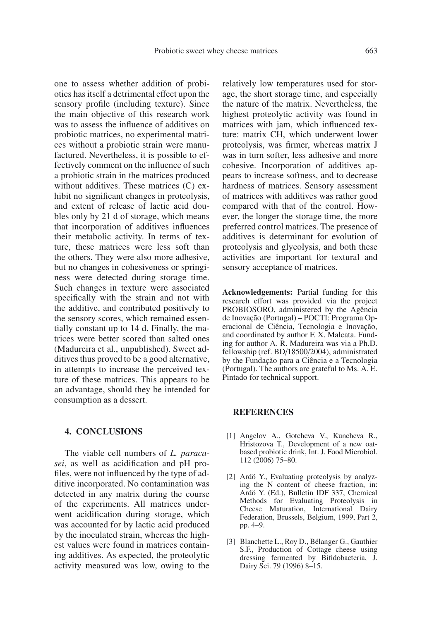one to assess whether addition of probiotics has itself a detrimental effect upon the sensory profile (including texture). Since the main objective of this research work was to assess the influence of additives on probiotic matrices, no experimental matrices without a probiotic strain were manufactured. Nevertheless, it is possible to effectively comment on the influence of such a probiotic strain in the matrices produced without additives. These matrices (C) exhibit no significant changes in proteolysis, and extent of release of lactic acid doubles only by 21 d of storage, which means that incorporation of additives influences their metabolic activity. In terms of texture, these matrices were less soft than the others. They were also more adhesive, but no changes in cohesiveness or springiness were detected during storage time. Such changes in texture were associated specifically with the strain and not with the additive, and contributed positively to the sensory scores, which remained essentially constant up to 14 d. Finally, the matrices were better scored than salted ones (Madureira et al., unpublished). Sweet additives thus proved to be a good alternative, in attempts to increase the perceived texture of these matrices. This appears to be an advantage, should they be intended for consumption as a dessert.

#### **4. CONCLUSIONS**

The viable cell numbers of *L. paracasei*, as well as acidification and pH profiles, were not influenced by the type of additive incorporated. No contamination was detected in any matrix during the course of the experiments. All matrices underwent acidification during storage, which was accounted for by lactic acid produced by the inoculated strain, whereas the highest values were found in matrices containing additives. As expected, the proteolytic activity measured was low, owing to the relatively low temperatures used for storage, the short storage time, and especially the nature of the matrix. Nevertheless, the highest proteolytic activity was found in matrices with jam, which influenced texture: matrix CH, which underwent lower proteolysis, was firmer, whereas matrix J was in turn softer, less adhesive and more cohesive. Incorporation of additives appears to increase softness, and to decrease hardness of matrices. Sensory assessment of matrices with additives was rather good compared with that of the control. However, the longer the storage time, the more preferred control matrices. The presence of additives is determinant for evolution of proteolysis and glycolysis, and both these activities are important for textural and sensory acceptance of matrices.

**Acknowledgements:** Partial funding for this research effort was provided via the project PROBIOSORO, administered by the Agência de Inovação (Portugal) – POCTI: Programa Operacional de Ciência, Tecnologia e Inovação, and coordinated by author F. X. Malcata. Funding for author A. R. Madureira was via a Ph.D. fellowship (ref. BD/18500/2004), administrated by the Fundação para a Ciência e a Tecnologia (Portugal). The authors are grateful to Ms. A. E. Pintado for technical support.

## **REFERENCES**

- <span id="page-14-1"></span>[1] Angelov A., Gotcheva V., Kuncheva R., Hristozova T., Development of a new oatbased probiotic drink, Int. J. Food Microbiol. 112 (2006) 75–80.
- <span id="page-14-2"></span>[2] Ardö Y., Evaluating proteolysis by analyzing the N content of cheese fraction, in: Ardö Y. (Ed.), Bulletin IDF 337, Chemical Methods for Evaluating Proteolysis in Cheese Maturation, International Dairy Federation, Brussels, Belgium, 1999, Part 2, pp. 4–9.
- <span id="page-14-0"></span>[3] Blanchette L., Roy D., Bélanger G., Gauthier S.F., Production of Cottage cheese using dressing fermented by Bifidobacteria, J. Dairy Sci. 79 (1996) 8–15.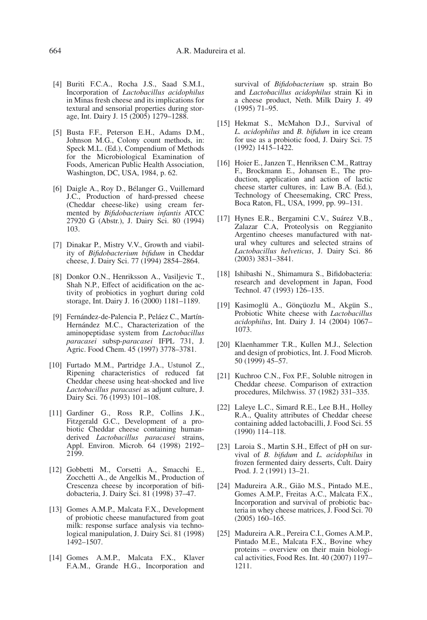- <span id="page-15-10"></span>[4] Buriti F.C.A., Rocha J.S., Saad S.M.I., Incorporation of *Lactobacillus acidophilus* in Minas fresh cheese and its implications for textural and sensorial properties during storage, Int. Dairy J. 15 (2005) 1279–1288.
- <span id="page-15-14"></span>[5] Busta F.F., Peterson E.H., Adams D.M., Johnson M.G., Colony count methods, in: Speck M.L. (Ed.), Compendium of Methods for the Microbiological Examination of Foods, American Public Health Association, Washington, DC, USA, 1984, p. 62.
- <span id="page-15-5"></span>[6] Daigle A., Roy D., Bélanger G., Vuillemard J.C., Production of hard-pressed cheese (Cheddar cheese-like) using cream fermented by *Bifidobacterium infantis* ATCC 27920 G (Abstr.), J. Dairy Sci. 80 (1994) 103.
- <span id="page-15-6"></span>[7] Dinakar P., Mistry V.V., Growth and viability of *Bifidobacterium bifidum* in Cheddar cheese, J. Dairy Sci. 77 (1994) 2854–2864.
- <span id="page-15-18"></span>[8] Donkor O.N., Henriksson A., Vasiljevic T., Shah N.P., Effect of acidification on the activity of probiotics in yoghurt during cold storage, Int. Dairy J. 16 (2000) 1181–1189.
- <span id="page-15-20"></span>[9] Fernández-de-Palencia P., Peláez C., Martín-Hernández M.C., Characterization of the aminopeptidase system from *Lactobacillus paracasei* subsp-*paracasei* IFPL 731, J. Agric. Food Chem. 45 (1997) 3778–3781.
- <span id="page-15-4"></span>[10] Furtado M.M., Partridge J.A., Ustunol Z., Ripening characteristics of reduced fat Cheddar cheese using heat-shocked and live *Lactobacillus paracasei* as adjunt culture, J. Dairy Sci. 76 (1993) 101–108.
- <span id="page-15-2"></span>[11] Gardiner G., Ross R.P., Collins J.K., Fitzgerald G.C., Development of a probiotic Cheddar cheese containing humanderived *Lactobacillus paracasei* strains, Appl. Environ. Microb. 64 (1998) 2192– 2199.
- <span id="page-15-7"></span>[12] Gobbetti M., Corsetti A., Smacchi E., Zocchetti A., de Angelkis M., Production of Crescenza cheese by incorporation of bifidobacteria, J. Dairy Sci. 81 (1998) 37–47.
- <span id="page-15-8"></span>[13] Gomes A.M.P., Malcata F.X., Development of probiotic cheese manufactured from goat milk: response surface analysis via technological manipulation, J. Dairy Sci. 81 (1998) 1492–1507.
- <span id="page-15-3"></span>[14] Gomes A.M.P., Malcata F.X., Klaver F.A.M., Grande H.G., Incorporation and

survival of *Bifidobacterium* sp. strain Bo and *Lactobacillus acidophilus* strain Ki in a cheese product, Neth. Milk Dairy J. 49 (1995) 71–95.

- <span id="page-15-0"></span>[15] Hekmat S., McMahon D.J., Survival of *L. acidophilus* and *B. bifidum* in ice cream for use as a probiotic food, J. Dairy Sci. 75 (1992) 1415–1422.
- <span id="page-15-16"></span>[16] Hoier E., Janzen T., Henriksen C.M., Rattray F., Brockmann E., Johansen E., The production, application and action of lactic cheese starter cultures, in: Law B.A. (Ed.), Technology of Cheesemaking, CRC Press, Boca Raton, FL, USA, 1999, pp. 99–131.
- <span id="page-15-21"></span>[17] Hynes E.R., Bergamini C.V., Suárez V.B., Zalazar C.A, Proteolysis on Reggianito Argentino cheeses manufactured with natural whey cultures and selected strains of *Lactobacillus helveticus*, J. Dairy Sci. 86 (2003) 3831–3841.
- <span id="page-15-17"></span>[18] Ishibashi N., Shimamura S., Bifidobacteria: research and development in Japan, Food Technol. 47 (1993) 126–135.
- <span id="page-15-9"></span>[19] Kasimoglü A., Gönçüozlu M., Akgün S., Probiotic White cheese with *Lactobacillus acidophilus*, Int. Dairy J. 14 (2004) 1067– 1073.
- <span id="page-15-13"></span>[20] Klaenhammer T.R., Kullen M.J., Selection and design of probiotics, Int. J. Food Microb. 50 (1999) 45–57.
- <span id="page-15-15"></span>[21] Kuchroo C.N., Fox P.F., Soluble nitrogen in Cheddar cheese. Comparison of extraction procedures, Milchwiss. 37 (1982) 331–335.
- <span id="page-15-19"></span>[22] Laleye L.C., Simard R.E., Lee B.H., Holley R.A., Quality attributes of Cheddar cheese containing added lactobacilli, J. Food Sci. 55 (1990) 114–118.
- <span id="page-15-1"></span>[23] Laroia S., Martin S.H., Effect of pH on survival of *B. bifidum* and *L. acidophilus* in frozen fermented dairy desserts, Cult. Dairy Prod. J. 2 (1991) 13–21.
- <span id="page-15-12"></span>[24] Madureira A.R., Gião M.S., Pintado M.E., Gomes A.M.P., Freitas A.C., Malcata F.X., Incorporation and survival of probiotic bacteria in whey cheese matrices, J. Food Sci. 70 (2005) 160–165.
- <span id="page-15-11"></span>[25] Madureira A.R., Pereira C.I., Gomes A.M.P., Pintado M.E., Malcata F.X., Bovine whey proteins – overview on their main biological activities, Food Res. Int. 40 (2007) 1197– 1211.